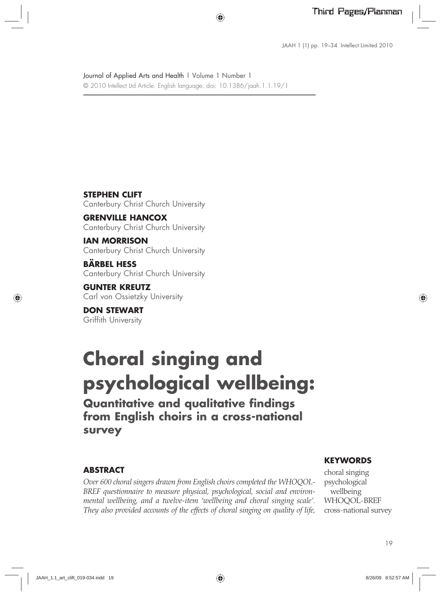Journal of Applied Arts and Health | Volume 1 Number 1 © 2010 Intellect Ltd Article. English language. doi: 10.1386/jaah.1.1.19/1

**STEPHEN CLIFT**  Canterbury Christ Church University

**GRENVILLE HANCOX**  Canterbury Christ Church University

**IAN MORRISON**  Canterbury Christ Church University

**BÄRBEL HESS**  Canterbury Christ Church University

**GUNTER KREUTZ**  Carl von Ossietzky University

**DON STEWART**  Griffith University

# **Choral singing and psychological wellbeing:**

**Quantitative and qualitative findings from English choirs in a cross-national survey**

# **ABSTRACT**

*Over 600 choral singers drawn from English choirs completed the WHOQOL-BREF questionnaire to measure physical, psychological, social and environmental wellbeing, and a twelve-item 'wellbeing and choral singing scale'. They also provided accounts of the effects of choral singing on quality of life,* 

## **KEYWORDS**

choral singing psychological wellbeing WHOQOL-BREF cross-national survey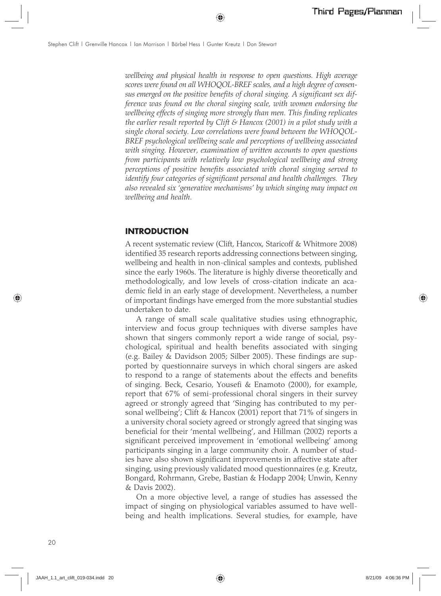*wellbeing and physical health in response to open questions. High average scores were found on all WHOQOL-BREF scales, and a high degree of consensus emerged on the positive benefits of choral singing. A significant sex difference was found on the choral singing scale, with women endorsing the*  wellbeing effects of singing more strongly than men. This finding replicates *the earlier result reported by Clift & Hancox (2001) in a pilot study with a single choral society. Low correlations were found between the WHOQOL-BREF psychological wellbeing scale and perceptions of wellbeing associated with singing. However, examination of written accounts to open questions from participants with relatively low psychological wellbeing and strong perceptions of positive benefits associated with choral singing served to identify four categories of significant personal and health challenges. They also revealed six 'generative mechanisms' by which singing may impact on wellbeing and health.*

#### **INTRODUCTION**

A recent systematic review (Clift, Hancox, Staricoff & Whitmore 2008) identified 35 research reports addressing connections between singing, wellbeing and health in non-clinical samples and contexts, published since the early 1960s. The literature is highly diverse theoretically and methodologically, and low levels of cross-citation indicate an academic field in an early stage of development. Nevertheless, a number of important findings have emerged from the more substantial studies undertaken to date.

A range of small scale qualitative studies using ethnographic, interview and focus group techniques with diverse samples have shown that singers commonly report a wide range of social, psychological, spiritual and health benefits associated with singing (e.g. Bailey & Davidson 2005; Silber 2005). These findings are supported by questionnaire surveys in which choral singers are asked to respond to a range of statements about the effects and benefits of singing. Beck, Cesario, Yousefi & Enamoto (2000), for example, report that 67% of semi-professional choral singers in their survey agreed or strongly agreed that 'Singing has contributed to my personal wellbeing'; Clift & Hancox (2001) report that 71% of singers in a university choral society agreed or strongly agreed that singing was beneficial for their 'mental wellbeing', and Hillman (2002) reports a significant perceived improvement in 'emotional wellbeing' among participants singing in a large community choir. A number of studies have also shown significant improvements in affective state after singing, using previously validated mood questionnaires (e.g. Kreutz, Bongard, Rohrmann, Grebe, Bastian & Hodapp 2004; Unwin, Kenny & Davis 2002).

On a more objective level, a range of studies has assessed the impact of singing on physiological variables assumed to have wellbeing and health implications. Several studies, for example, have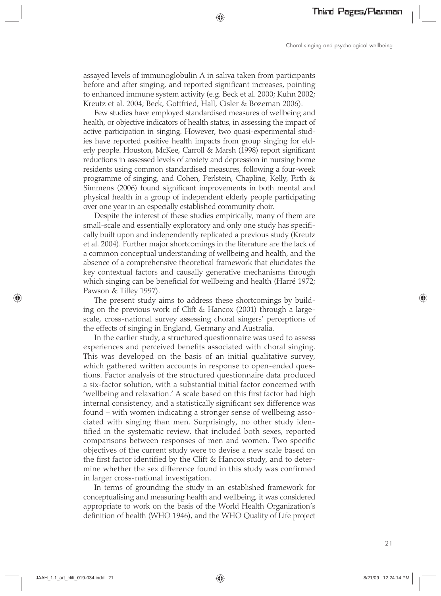assayed levels of immunoglobulin A in saliva taken from participants before and after singing, and reported significant increases, pointing to enhanced immune system activity (e.g. Beck et al. 2000; Kuhn 2002; Kreutz et al. 2004; Beck, Gottfried, Hall, Cisler & Bozeman 2006).

Few studies have employed standardised measures of wellbeing and health, or objective indicators of health status, in assessing the impact of active participation in singing. However, two quasi-experimental studies have reported positive health impacts from group singing for elderly people. Houston, McKee, Carroll & Marsh (1998) report significant reductions in assessed levels of anxiety and depression in nursing home residents using common standardised measures, following a four-week programme of singing, and Cohen, Perlstein, Chapline, Kelly, Firth & Simmens (2006) found significant improvements in both mental and physical health in a group of independent elderly people participating over one year in an especially established community choir.

Despite the interest of these studies empirically, many of them are small-scale and essentially exploratory and only one study has specifically built upon and independently replicated a previous study (Kreutz et al. 2004). Further major shortcomings in the literature are the lack of a common conceptual understanding of wellbeing and health, and the absence of a comprehensive theoretical framework that elucidates the key contextual factors and causally generative mechanisms through which singing can be beneficial for wellbeing and health (Harré 1972; Pawson & Tilley 1997).

The present study aims to address these shortcomings by building on the previous work of Clift & Hancox (2001) through a largescale, cross-national survey assessing choral singers' perceptions of the effects of singing in England, Germany and Australia.

In the earlier study, a structured questionnaire was used to assess experiences and perceived benefits associated with choral singing. This was developed on the basis of an initial qualitative survey, which gathered written accounts in response to open-ended questions. Factor analysis of the structured questionnaire data produced a six-factor solution, with a substantial initial factor concerned with 'wellbeing and relaxation.' A scale based on this first factor had high internal consistency, and a statistically significant sex difference was found – with women indicating a stronger sense of wellbeing associated with singing than men. Surprisingly, no other study identified in the systematic review, that included both sexes, reported comparisons between responses of men and women. Two specific objectives of the current study were to devise a new scale based on the first factor identified by the Clift & Hancox study, and to determine whether the sex difference found in this study was confirmed in larger cross-national investigation.

In terms of grounding the study in an established framework for conceptualising and measuring health and wellbeing, it was considered appropriate to work on the basis of the World Health Organization's definition of health (WHO 1946), and the WHO Quality of Life project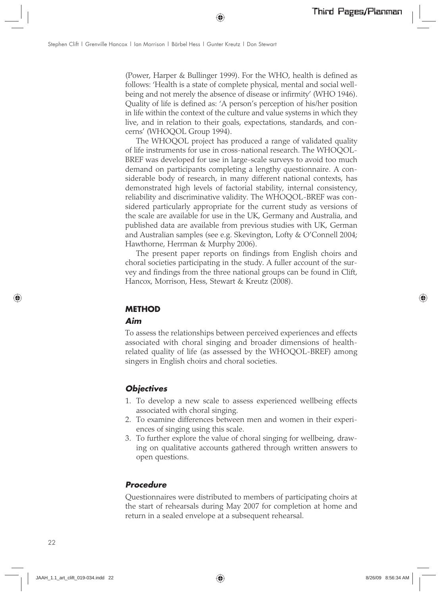(Power, Harper & Bullinger 1999). For the WHO, health is defined as follows: 'Health is a state of complete physical, mental and social wellbeing and not merely the absence of disease or infirmity' (WHO 1946). Quality of life is defined as: 'A person's perception of his/her position in life within the context of the culture and value systems in which they live, and in relation to their goals, expectations, standards, and concerns' (WHOQOL Group 1994).

The WHOQOL project has produced a range of validated quality of life instruments for use in cross-national research. The WHOQOL-BREF was developed for use in large-scale surveys to avoid too much demand on participants completing a lengthy questionnaire. A considerable body of research, in many different national contexts, has demonstrated high levels of factorial stability, internal consistency, reliability and discriminative validity. The WHOQOL-BREF was considered particularly appropriate for the current study as versions of the scale are available for use in the UK, Germany and Australia, and published data are available from previous studies with UK, German and Australian samples (see e.g. Skevington, Lofty & O'Connell 2004; Hawthorne, Herrman & Murphy 2006).

The present paper reports on findings from English choirs and choral societies participating in the study. A fuller account of the survey and findings from the three national groups can be found in Clift, Hancox, Morrison, Hess, Stewart & Kreutz (2008).

# **METHOD**

## *Aim*

To assess the relationships between perceived experiences and effects associated with choral singing and broader dimensions of healthrelated quality of life (as assessed by the WHOQOL-BREF) among singers in English choirs and choral societies.

# *Objectives*

- 1. To develop a new scale to assess experienced wellbeing effects associated with choral singing.
- 2. To examine differences between men and women in their experiences of singing using this scale.
- 3. To further explore the value of choral singing for wellbeing, drawing on qualitative accounts gathered through written answers to open questions.

# *Procedure*

Questionnaires were distributed to members of participating choirs at the start of rehearsals during May 2007 for completion at home and return in a sealed envelope at a subsequent rehearsal.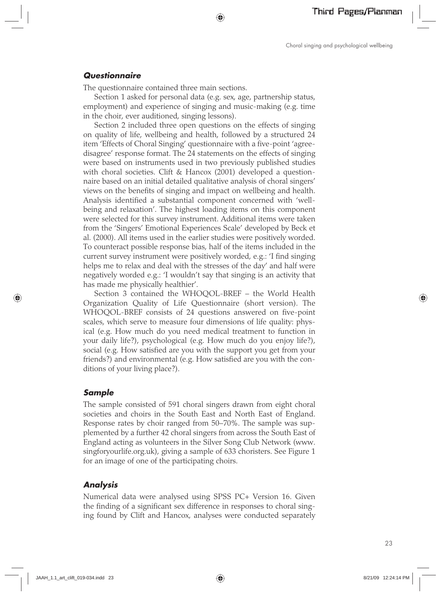### *Questionnaire*

The questionnaire contained three main sections.

Section 1 asked for personal data (e.g. sex, age, partnership status, employment) and experience of singing and music-making (e.g. time in the choir, ever auditioned, singing lessons).

Section 2 included three open questions on the effects of singing on quality of life, wellbeing and health, followed by a structured 24 item 'Effects of Choral Singing' questionnaire with a five-point 'agreedisagree' response format. The 24 statements on the effects of singing were based on instruments used in two previously published studies with choral societies. Clift & Hancox (2001) developed a questionnaire based on an initial detailed qualitative analysis of choral singers' views on the benefits of singing and impact on wellbeing and health. Analysis identified a substantial component concerned with 'wellbeing and relaxation'. The highest loading items on this component were selected for this survey instrument. Additional items were taken from the 'Singers' Emotional Experiences Scale' developed by Beck et al. (2000). All items used in the earlier studies were positively worded. To counteract possible response bias, half of the items included in the current survey instrument were positively worded, e.g.: 'I find singing helps me to relax and deal with the stresses of the day' and half were negatively worded e.g.: 'I wouldn't say that singing is an activity that has made me physically healthier'.

Section 3 contained the WHOQOL-BREF – the World Health Organization Quality of Life Questionnaire (short version). The WHOQOL-BREF consists of 24 questions answered on five-point scales, which serve to measure four dimensions of life quality: physical (e.g. How much do you need medical treatment to function in your daily life?), psychological (e.g. How much do you enjoy life?), social (e.g. How satisfied are you with the support you get from your friends?) and environmental (e.g. How satisfied are you with the conditions of your living place?).

#### *Sample*

The sample consisted of 591 choral singers drawn from eight choral societies and choirs in the South East and North East of England. Response rates by choir ranged from 50–70%. The sample was supplemented by a further 42 choral singers from across the South East of England acting as volunteers in the Silver Song Club Network (www. singforyourlife.org.uk), giving a sample of 633 choristers. See Figure 1 for an image of one of the participating choirs.

#### *Analysis*

Numerical data were analysed using SPSS PC+ Version 16. Given the finding of a significant sex difference in responses to choral singing found by Clift and Hancox, analyses were conducted separately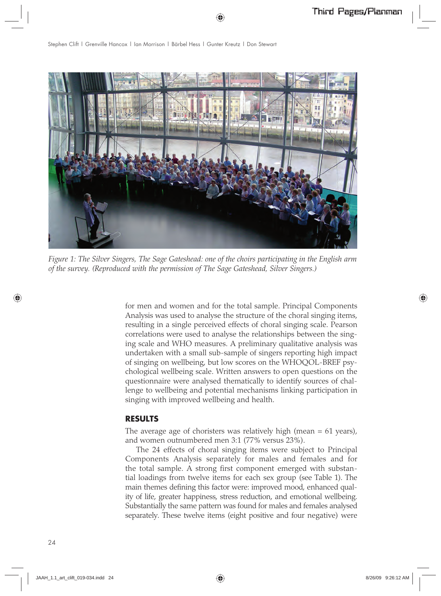

*Figure 1: The Silver Singers, The Sage Gateshead: one of the choirs participating in the English arm of the survey. (Reproduced with the permission of The Sage Gateshead, Silver Singers.)*

for men and women and for the total sample. Principal Components Analysis was used to analyse the structure of the choral singing items, resulting in a single perceived effects of choral singing scale. Pearson correlations were used to analyse the relationships between the singing scale and WHO measures. A preliminary qualitative analysis was undertaken with a small sub-sample of singers reporting high impact of singing on wellbeing, but low scores on the WHOQOL-BREF psychological wellbeing scale. Written answers to open questions on the questionnaire were analysed thematically to identify sources of challenge to wellbeing and potential mechanisms linking participation in singing with improved wellbeing and health.

#### **RESULTS**

The average age of choristers was relatively high (mean  $= 61$  years), and women outnumbered men 3:1 (77% versus 23%).

The 24 effects of choral singing items were subject to Principal Components Analysis separately for males and females and for the total sample. A strong first component emerged with substantial loadings from twelve items for each sex group (see Table 1). The main themes defining this factor were: improved mood, enhanced quality of life, greater happiness, stress reduction, and emotional wellbeing. Substantially the same pattern was found for males and females analysed separately. These twelve items (eight positive and four negative) were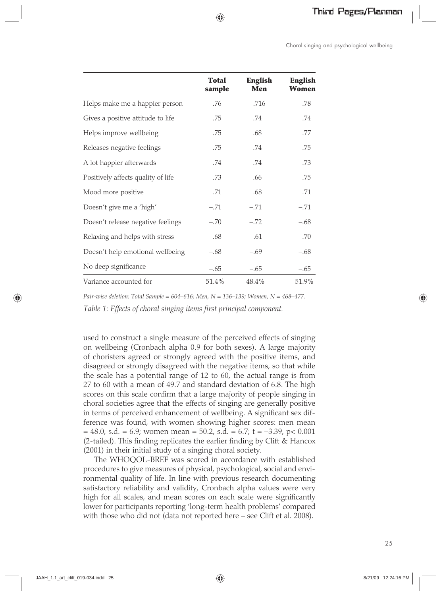|                                    | <b>Total</b><br>sample | <b>English</b><br>Men | <b>English</b><br>Women |
|------------------------------------|------------------------|-----------------------|-------------------------|
| Helps make me a happier person     | .76                    | .716                  | .78                     |
| Gives a positive attitude to life  | .75                    | .74                   | .74                     |
| Helps improve wellbeing            | .75                    | .68                   | .77                     |
| Releases negative feelings         | .75                    | .74                   | .75                     |
| A lot happier afterwards           | .74                    | .74                   | .73                     |
| Positively affects quality of life | .73                    | .66                   | .75                     |
| Mood more positive                 | .71                    | .68                   | .71                     |
| Doesn't give me a 'high'           | $-.71$                 | $-.71$                | $-.71$                  |
| Doesn't release negative feelings  | $-.70$                 | $-.72$                | $-.68$                  |
| Relaxing and helps with stress     | .68                    | .61                   | .70                     |
| Doesn't help emotional wellbeing   | $-.68$                 | $-.69$                | $-.68$                  |
| No deep significance               | $-.65$                 | $-.65$                | $-.65$                  |
| Variance accounted for             | 51.4%                  | 48.4%                 | 51.9%                   |

*Pair-wise deletion: Total Sample = 604–616; Men, N = 136–139; Women, N = 468–477.*

*Table 1: Effects of choral singing items first principal component.*

used to construct a single measure of the perceived effects of singing on wellbeing (Cronbach alpha 0.9 for both sexes). A large majority of choristers agreed or strongly agreed with the positive items, and disagreed or strongly disagreed with the negative items, so that while the scale has a potential range of 12 to 60, the actual range is from 27 to 60 with a mean of 49.7 and standard deviation of 6.8. The high scores on this scale confirm that a large majority of people singing in choral societies agree that the effects of singing are generally positive in terms of perceived enhancement of wellbeing. A significant sex difference was found, with women showing higher scores: men mean  $= 48.0$ , s.d.  $= 6.9$ ; women mean  $= 50.2$ , s.d.  $= 6.7$ ;  $t = -3.39$ ,  $p < 0.001$ (2-tailed). This finding replicates the earlier finding by Clift & Hancox (2001) in their initial study of a singing choral society.

The WHOQOL-BREF was scored in accordance with established procedures to give measures of physical, psychological, social and environmental quality of life. In line with previous research documenting satisfactory reliability and validity, Cronbach alpha values were very high for all scales, and mean scores on each scale were significantly lower for participants reporting 'long-term health problems' compared with those who did not (data not reported here – see Clift et al. 2008).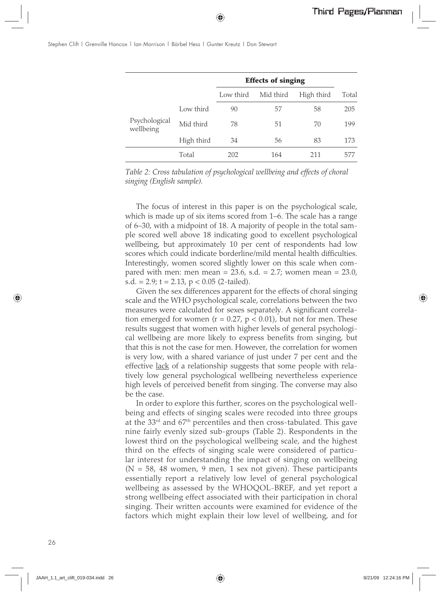|                            |            | <b>Effects of singing</b> |           |            |       |
|----------------------------|------------|---------------------------|-----------|------------|-------|
|                            |            | Low third                 | Mid third | High third | Total |
|                            | Low third  | 90                        | 57        | 58         | 205   |
| Psychological<br>wellbeing | Mid third  | 78                        | 51        | 70         | 199   |
|                            | High third | 34                        | 56        | 83         | 173   |
|                            | Total      | 202                       | 164       | 211        | 577   |

*Table 2: Cross tabulation of psychological wellbeing and effects of choral singing (English sample).*

The focus of interest in this paper is on the psychological scale, which is made up of six items scored from 1–6. The scale has a range of 6–30, with a midpoint of 18. A majority of people in the total sample scored well above 18 indicating good to excellent psychological wellbeing, but approximately 10 per cent of respondents had low scores which could indicate borderline/mild mental health difficulties. Interestingly, women scored slightly lower on this scale when compared with men: men mean =  $23.6$ , s.d. =  $2.7$ ; women mean =  $23.0$ , s.d. = 2.9;  $t = 2.13$ ,  $p < 0.05$  (2-tailed).

Given the sex differences apparent for the effects of choral singing scale and the WHO psychological scale, correlations between the two measures were calculated for sexes separately. A significant correlation emerged for women ( $r = 0.27$ ,  $p < 0.01$ ), but not for men. These results suggest that women with higher levels of general psychological wellbeing are more likely to express benefits from singing, but that this is not the case for men. However, the correlation for women is very low, with a shared variance of just under 7 per cent and the effective lack of a relationship suggests that some people with relatively low general psychological wellbeing nevertheless experience high levels of perceived benefit from singing. The converse may also be the case.

In order to explore this further, scores on the psychological wellbeing and effects of singing scales were recoded into three groups at the 33<sup>rd</sup> and 67<sup>th</sup> percentiles and then cross-tabulated. This gave nine fairly evenly sized sub-groups (Table 2). Respondents in the lowest third on the psychological wellbeing scale, and the highest third on the effects of singing scale were considered of particular interest for understanding the impact of singing on wellbeing  $(N = 58, 48$  women, 9 men, 1 sex not given). These participants essentially report a relatively low level of general psychological wellbeing as assessed by the WHOQOL-BREF, and yet report a strong wellbeing effect associated with their participation in choral singing. Their written accounts were examined for evidence of the factors which might explain their low level of wellbeing, and for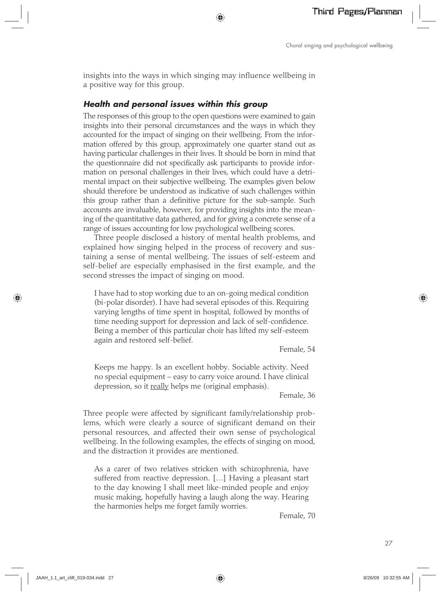insights into the ways in which singing may influence wellbeing in a positive way for this group.

## *Health and personal issues within this group*

The responses of this group to the open questions were examined to gain insights into their personal circumstances and the ways in which they accounted for the impact of singing on their wellbeing. From the information offered by this group, approximately one quarter stand out as having particular challenges in their lives. It should be born in mind that the questionnaire did not specifically ask participants to provide information on personal challenges in their lives, which could have a detrimental impact on their subjective wellbeing. The examples given below should therefore be understood as indicative of such challenges within this group rather than a definitive picture for the sub-sample. Such accounts are invaluable, however, for providing insights into the meaning of the quantitative data gathered, and for giving a concrete sense of a range of issues accounting for low psychological wellbeing scores.

Three people disclosed a history of mental health problems, and explained how singing helped in the process of recovery and sustaining a sense of mental wellbeing. The issues of self-esteem and self-belief are especially emphasised in the first example, and the second stresses the impact of singing on mood.

I have had to stop working due to an on-going medical condition (bi-polar disorder). I have had several episodes of this. Requiring varying lengths of time spent in hospital, followed by months of time needing support for depression and lack of self-confidence. Being a member of this particular choir has lifted my self-esteem again and restored self-belief.

Female, 54

Keeps me happy. Is an excellent hobby. Sociable activity. Need no special equipment – easy to carry voice around. I have clinical depression, so it really helps me (original emphasis).

Female, 36

Three people were affected by significant family/relationship problems, which were clearly a source of significant demand on their personal resources, and affected their own sense of psychological wellbeing. In the following examples, the effects of singing on mood, and the distraction it provides are mentioned.

As a carer of two relatives stricken with schizophrenia, have suffered from reactive depression. […] Having a pleasant start to the day knowing I shall meet like-minded people and enjoy music making, hopefully having a laugh along the way. Hearing the harmonies helps me forget family worries.

Female, 70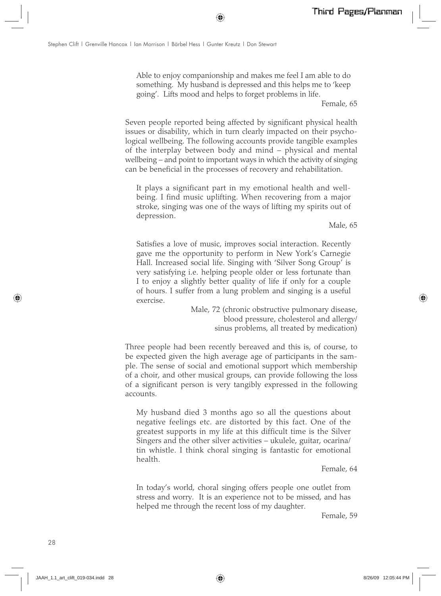Able to enjoy companionship and makes me feel I am able to do something. My husband is depressed and this helps me to 'keep going'. Lifts mood and helps to forget problems in life.

Female, 65

Seven people reported being affected by significant physical health issues or disability, which in turn clearly impacted on their psychological wellbeing. The following accounts provide tangible examples of the interplay between body and mind – physical and mental wellbeing – and point to important ways in which the activity of singing can be beneficial in the processes of recovery and rehabilitation.

It plays a significant part in my emotional health and wellbeing. I find music uplifting. When recovering from a major stroke, singing was one of the ways of lifting my spirits out of depression.

Male, 65

Satisfies a love of music, improves social interaction. Recently gave me the opportunity to perform in New York's Carnegie Hall. Increased social life. Singing with 'Silver Song Group' is very satisfying i.e. helping people older or less fortunate than I to enjoy a slightly better quality of life if only for a couple of hours. I suffer from a lung problem and singing is a useful exercise.

> Male, 72 (chronic obstructive pulmonary disease, blood pressure, cholesterol and allergy/ sinus problems, all treated by medication)

Three people had been recently bereaved and this is, of course, to be expected given the high average age of participants in the sample. The sense of social and emotional support which membership of a choir, and other musical groups, can provide following the loss of a significant person is very tangibly expressed in the following accounts.

My husband died 3 months ago so all the questions about negative feelings etc. are distorted by this fact. One of the greatest supports in my life at this difficult time is the Silver Singers and the other silver activities – ukulele, guitar, ocarina/ tin whistle. I think choral singing is fantastic for emotional health.

Female, 64

In today's world, choral singing offers people one outlet from stress and worry. It is an experience not to be missed, and has helped me through the recent loss of my daughter.

Female, 59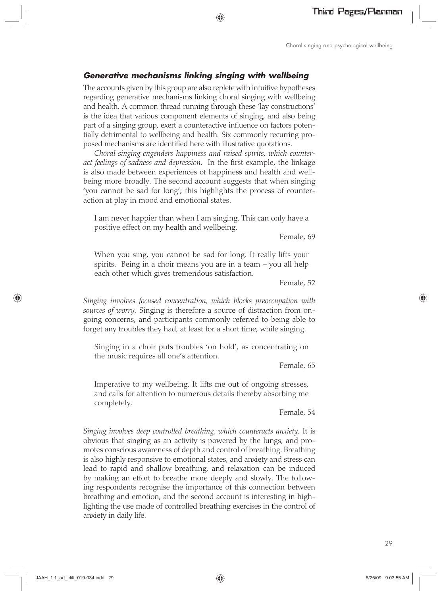# *Generative mechanisms linking singing with wellbeing*

The accounts given by this group are also replete with intuitive hypotheses regarding generative mechanisms linking choral singing with wellbeing and health. A common thread running through these 'lay constructions' is the idea that various component elements of singing, and also being part of a singing group, exert a counteractive influence on factors potentially detrimental to wellbeing and health. Six commonly recurring proposed mechanisms are identified here with illustrative quotations.

*Choral singing engenders happiness and raised spirits, which counteract feelings of sadness and depression.* In the first example, the linkage is also made between experiences of happiness and health and wellbeing more broadly. The second account suggests that when singing 'you cannot be sad for long'; this highlights the process of counteraction at play in mood and emotional states.

I am never happier than when I am singing. This can only have a positive effect on my health and wellbeing.

Female, 69

When you sing, you cannot be sad for long. It really lifts your spirits. Being in a choir means you are in a team – you all help each other which gives tremendous satisfaction.

Female, 52

*Singing involves focused concentration, which blocks preoccupation with sources of worry.* Singing is therefore a source of distraction from ongoing concerns, and participants commonly referred to being able to forget any troubles they had, at least for a short time, while singing.

Singing in a choir puts troubles 'on hold', as concentrating on the music requires all one's attention.

Female, 65

Imperative to my wellbeing. It lifts me out of ongoing stresses, and calls for attention to numerous details thereby absorbing me completely.

Female, 54

*Singing involves deep controlled breathing, which counteracts anxiety.* It is obvious that singing as an activity is powered by the lungs, and promotes conscious awareness of depth and control of breathing. Breathing is also highly responsive to emotional states, and anxiety and stress can lead to rapid and shallow breathing, and relaxation can be induced by making an effort to breathe more deeply and slowly. The following respondents recognise the importance of this connection between breathing and emotion, and the second account is interesting in highlighting the use made of controlled breathing exercises in the control of anxiety in daily life.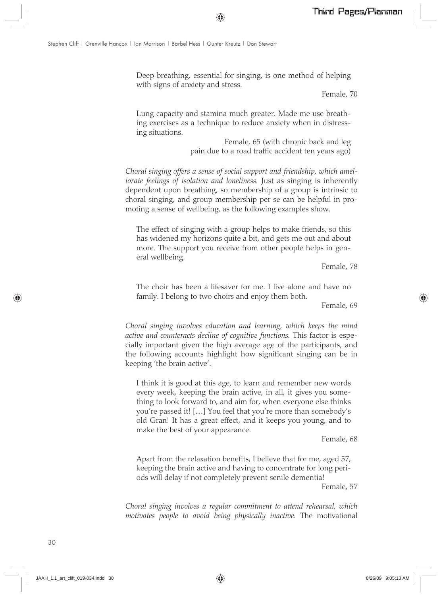Deep breathing, essential for singing, is one method of helping with signs of anxiety and stress.

Female, 70

Lung capacity and stamina much greater. Made me use breathing exercises as a technique to reduce anxiety when in distressing situations.

> Female, 65 (with chronic back and leg pain due to a road traffic accident ten years ago)

*Choral singing offers a sense of social support and friendship, which ameliorate feelings of isolation and loneliness.* Just as singing is inherently dependent upon breathing, so membership of a group is intrinsic to choral singing, and group membership per se can be helpful in promoting a sense of wellbeing, as the following examples show.

The effect of singing with a group helps to make friends, so this has widened my horizons quite a bit, and gets me out and about more. The support you receive from other people helps in general wellbeing.

Female, 78

The choir has been a lifesaver for me. I live alone and have no family. I belong to two choirs and enjoy them both.

Female, 69

*Choral singing involves education and learning, which keeps the mind active and counteracts decline of cognitive functions.* This factor is especially important given the high average age of the participants, and the following accounts highlight how significant singing can be in keeping 'the brain active'.

I think it is good at this age, to learn and remember new words every week, keeping the brain active, in all, it gives you something to look forward to, and aim for, when everyone else thinks you're passed it! […] You feel that you're more than somebody's old Gran! It has a great effect, and it keeps you young, and to make the best of your appearance.

Female, 68

Apart from the relaxation benefits, I believe that for me, aged 57, keeping the brain active and having to concentrate for long periods will delay if not completely prevent senile dementia!

Female, 57

*Choral singing involves a regular commitment to attend rehearsal, which motivates people to avoid being physically inactive.* The motivational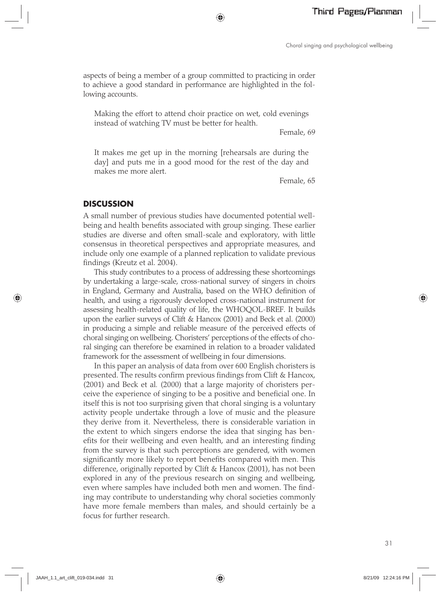aspects of being a member of a group committed to practicing in order to achieve a good standard in performance are highlighted in the following accounts.

Making the effort to attend choir practice on wet, cold evenings instead of watching TV must be better for health.

Female, 69

It makes me get up in the morning [rehearsals are during the day] and puts me in a good mood for the rest of the day and makes me more alert.

Female, 65

#### **DISCUSSION**

A small number of previous studies have documented potential wellbeing and health benefits associated with group singing. These earlier studies are diverse and often small-scale and exploratory, with little consensus in theoretical perspectives and appropriate measures, and include only one example of a planned replication to validate previous findings (Kreutz et al. 2004).

This study contributes to a process of addressing these shortcomings by undertaking a large-scale, cross-national survey of singers in choirs in England, Germany and Australia, based on the WHO definition of health, and using a rigorously developed cross-national instrument for assessing health-related quality of life, the WHOQOL-BREF. It builds upon the earlier surveys of Clift & Hancox (2001) and Beck et al. (2000) in producing a simple and reliable measure of the perceived effects of choral singing on wellbeing. Choristers' perceptions of the effects of choral singing can therefore be examined in relation to a broader validated framework for the assessment of wellbeing in four dimensions.

In this paper an analysis of data from over 600 English choristers is presented. The results confirm previous findings from Clift & Hancox, (2001) and Beck et al*.* (2000) that a large majority of choristers perceive the experience of singing to be a positive and beneficial one. In itself this is not too surprising given that choral singing is a voluntary activity people undertake through a love of music and the pleasure they derive from it. Nevertheless, there is considerable variation in the extent to which singers endorse the idea that singing has benefits for their wellbeing and even health, and an interesting finding from the survey is that such perceptions are gendered, with women significantly more likely to report benefits compared with men. This difference, originally reported by Clift & Hancox (2001), has not been explored in any of the previous research on singing and wellbeing, even where samples have included both men and women. The finding may contribute to understanding why choral societies commonly have more female members than males, and should certainly be a focus for further research.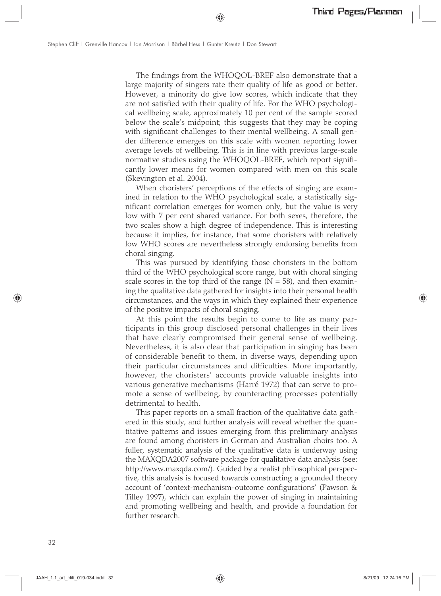The findings from the WHOQOL-BREF also demonstrate that a large majority of singers rate their quality of life as good or better. However, a minority do give low scores, which indicate that they are not satisfied with their quality of life. For the WHO psychological wellbeing scale, approximately 10 per cent of the sample scored below the scale's midpoint; this suggests that they may be coping with significant challenges to their mental wellbeing. A small gender difference emerges on this scale with women reporting lower average levels of wellbeing. This is in line with previous large-scale normative studies using the WHOQOL-BREF, which report significantly lower means for women compared with men on this scale (Skevington et al. 2004).

When choristers' perceptions of the effects of singing are examined in relation to the WHO psychological scale, a statistically significant correlation emerges for women only, but the value is very low with 7 per cent shared variance. For both sexes, therefore, the two scales show a high degree of independence. This is interesting because it implies, for instance, that some choristers with relatively low WHO scores are nevertheless strongly endorsing benefits from choral singing.

This was pursued by identifying those choristers in the bottom third of the WHO psychological score range, but with choral singing scale scores in the top third of the range  $(N = 58)$ , and then examining the qualitative data gathered for insights into their personal health circumstances, and the ways in which they explained their experience of the positive impacts of choral singing.

At this point the results begin to come to life as many participants in this group disclosed personal challenges in their lives that have clearly compromised their general sense of wellbeing. Nevertheless, it is also clear that participation in singing has been of considerable benefit to them, in diverse ways, depending upon their particular circumstances and difficulties. More importantly, however, the choristers' accounts provide valuable insights into various generative mechanisms (Harré 1972) that can serve to promote a sense of wellbeing, by counteracting processes potentially detrimental to health.

This paper reports on a small fraction of the qualitative data gathered in this study, and further analysis will reveal whether the quantitative patterns and issues emerging from this preliminary analysis are found among choristers in German and Australian choirs too. A fuller, systematic analysis of the qualitative data is underway using the MAXQDA2007 software package for qualitative data analysis (see: http://www.maxqda.com/). Guided by a realist philosophical perspective, this analysis is focused towards constructing a grounded theory account of 'context-mechanism-outcome configurations' (Pawson & Tilley 1997), which can explain the power of singing in maintaining and promoting wellbeing and health, and provide a foundation for further research.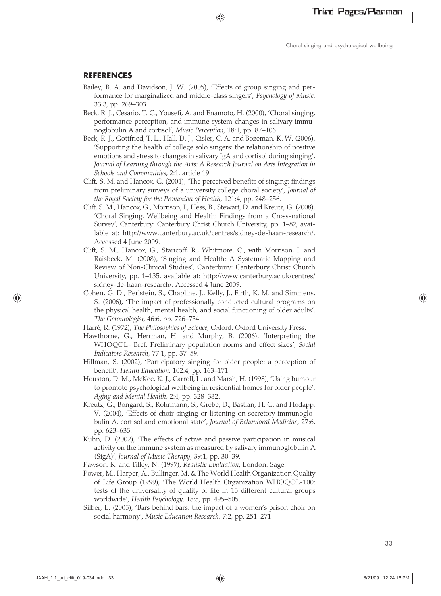#### **REFERENCES**

- Bailey, B. A. and Davidson, J. W. (2005), 'Effects of group singing and performance for marginalized and middle-class singers', *Psychology of Music*, 33:3, pp. 269–303.
- Beck, R. J., Cesario, T. C., Yousefi, A. and Enamoto, H. (2000), 'Choral singing, performance perception, and immune system changes in salivary immunoglobulin A and cortisol', *Music Perception*, 18:1, pp. 87–106.
- Beck, R. J., Gottfried, T. L., Hall, D. J., Cisler, C. A. and Bozeman, K. W. (2006), 'Supporting the health of college solo singers: the relationship of positive emotions and stress to changes in salivary IgA and cortisol during singing', *Journal of Learning through the Arts: A Research Journal on Arts Integration in Schools and Communities*, 2:1, article 19.
- Clift, S. M. and Hancox, G. (2001), 'The perceived benefits of singing: findings from preliminary surveys of a university college choral society', *Journal of the Royal Society for the Promotion of Health*, 121:4, pp. 248–256.
- Clift, S. M., Hancox, G., Morrison, I., Hess, B., Stewart, D. and Kreutz, G. (2008), 'Choral Singing, Wellbeing and Health: Findings from a Cross-national Survey', Canterbury: Canterbury Christ Church University, pp. 1–82, available at: http://www.canterbury.ac.uk/centres/sidney-de-haan-research/. Accessed 4 June 2009.
- Clift, S. M., Hancox, G., Staricoff, R., Whitmore, C., with Morrison, I. and Raisbeck, M. (2008), 'Singing and Health: A Systematic Mapping and Review of Non-Clinical Studies', Canterbury: Canterbury Christ Church University, pp. 1–135, available at: http://www.canterbury.ac.uk/centres/ sidney-de-haan-research/. Accessed 4 June 2009.
- Cohen, G. D., Perlstein, S., Chapline, J., Kelly, J., Firth, K. M. and Simmens, S. (2006), 'The impact of professionally conducted cultural programs on the physical health, mental health, and social functioning of older adults', *The Gerontologist*, 46:6, pp. 726–734.
- Harré, R. (1972), *The Philosophies of Science*, Oxford: Oxford University Press.
- Hawthorne, G., Herrman, H. and Murphy, B. (2006), 'Interpreting the WHOQOL- Bref: Preliminary population norms and effect sizes', *Social Indicators Research*, 77:1, pp. 37–59.
- Hillman, S. (2002), 'Participatory singing for older people: a perception of benefit', *Health Education*, 102:4, pp. 163–171.
- Houston, D. M., McKee, K. J., Carroll, L. and Marsh, H. (1998), 'Using humour to promote psychological wellbeing in residential homes for older people', *Aging and Mental Health*, 2:4, pp. 328–332.
- Kreutz, G., Bongard, S., Rohrmann, S., Grebe, D., Bastian, H. G. and Hodapp, V. (2004), 'Effects of choir singing or listening on secretory immunoglobulin A, cortisol and emotional state', *Journal of Behavioral Medicine*, 27:6, pp. 623–635.
- Kuhn, D. (2002), 'The effects of active and passive participation in musical activity on the immune system as measured by salivary immunoglobulin A (SigA)', *Journal of Music Therapy*, 39:1, pp. 30–39.
- Pawson. R. and Tilley, N. (1997), *Realistic Evaluation*, London: Sage.
- Power, M., Harper, A., Bullinger, M. & The World Health Organization Quality of Life Group (1999), 'The World Health Organization WHOQOL-100: tests of the universality of quality of life in 15 different cultural groups worldwide', *Health Psychology,* 18:5, pp. 495–505.
- Silber, L. (2005), 'Bars behind bars: the impact of a women's prison choir on social harmony', *Music Education Research*, 7:2, pp. 251–271.